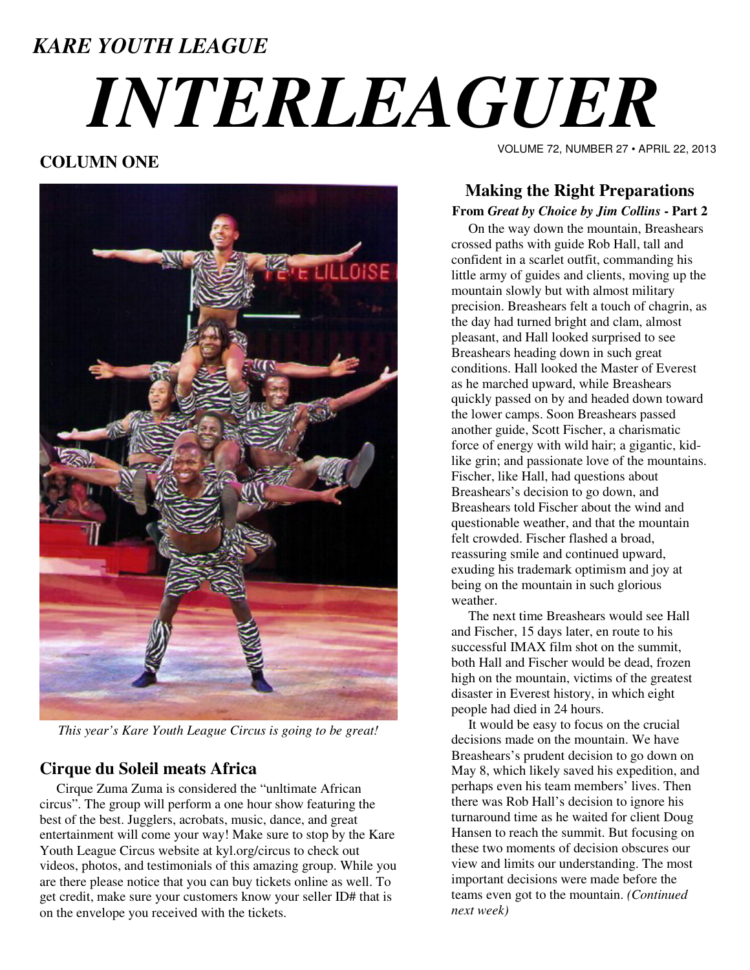# *KARE YOUTH LEAGUE INTERLEAGUER*

# **COLUMN ONE**



*This year's Kare Youth League Circus is going to be great!* 

### **Cirque du Soleil meats Africa**

 Cirque Zuma Zuma is considered the "unltimate African circus". The group will perform a one hour show featuring the best of the best. Jugglers, acrobats, music, dance, and great entertainment will come your way! Make sure to stop by the Kare Youth League Circus website at kyl.org/circus to check out videos, photos, and testimonials of this amazing group. While you are there please notice that you can buy tickets online as well. To get credit, make sure your customers know your seller ID# that is on the envelope you received with the tickets.

VOLUME 72, NUMBER 27 • APRIL 22, 2013

# **Making the Right Preparations**

#### **From** *Great by Choice by Jim Collins* **- Part 2**

 On the way down the mountain, Breashears crossed paths with guide Rob Hall, tall and confident in a scarlet outfit, commanding his little army of guides and clients, moving up the mountain slowly but with almost military precision. Breashears felt a touch of chagrin, as the day had turned bright and clam, almost pleasant, and Hall looked surprised to see Breashears heading down in such great conditions. Hall looked the Master of Everest as he marched upward, while Breashears quickly passed on by and headed down toward the lower camps. Soon Breashears passed another guide, Scott Fischer, a charismatic force of energy with wild hair; a gigantic, kidlike grin; and passionate love of the mountains. Fischer, like Hall, had questions about Breashears's decision to go down, and Breashears told Fischer about the wind and questionable weather, and that the mountain felt crowded. Fischer flashed a broad, reassuring smile and continued upward, exuding his trademark optimism and joy at being on the mountain in such glorious weather.

 The next time Breashears would see Hall and Fischer, 15 days later, en route to his successful IMAX film shot on the summit, both Hall and Fischer would be dead, frozen high on the mountain, victims of the greatest disaster in Everest history, in which eight people had died in 24 hours.

 It would be easy to focus on the crucial decisions made on the mountain. We have Breashears's prudent decision to go down on May 8, which likely saved his expedition, and perhaps even his team members' lives. Then there was Rob Hall's decision to ignore his turnaround time as he waited for client Doug Hansen to reach the summit. But focusing on these two moments of decision obscures our view and limits our understanding. The most important decisions were made before the teams even got to the mountain. *(Continued next week)*